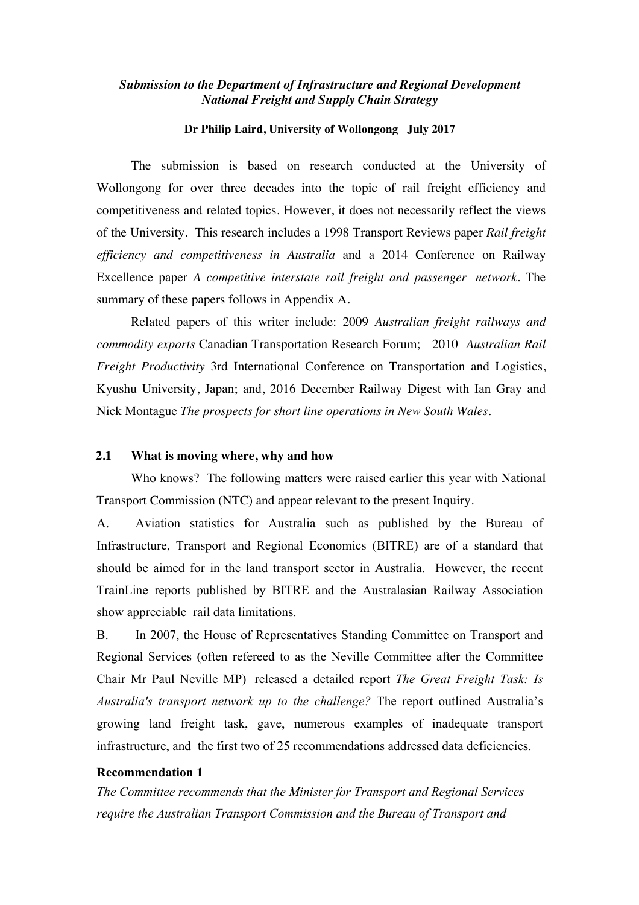## *Submission to the Department of Infrastructure and Regional Development National Freight and Supply Chain Strategy*

## **Dr Philip Laird, University of Wollongong July 2017**

The submission is based on research conducted at the University of Wollongong for over three decades into the topic of rail freight efficiency and competitiveness and related topics. However, it does not necessarily reflect the views of the University. This research includes a 1998 Transport Reviews paper *Rail freight efficiency and competitiveness in Australia* and a 2014 Conference on Railway Excellence paper *A competitive interstate rail freight and passenger network*. The summary of these papers follows in Appendix A.

Related papers of this writer include: 2009 *Australian freight railways and commodity exports* Canadian Transportation Research Forum; 2010 *Australian Rail Freight Productivity* 3rd International Conference on Transportation and Logistics, Kyushu University, Japan; and, 2016 December Railway Digest with Ian Gray and Nick Montague *The prospects for short line operations in New South Wales*.

# **2.1 What is moving where, why and how**

Who knows? The following matters were raised earlier this year with National Transport Commission (NTC) and appear relevant to the present Inquiry.

A. Aviation statistics for Australia such as published by the Bureau of Infrastructure, Transport and Regional Economics (BITRE) are of a standard that should be aimed for in the land transport sector in Australia. However, the recent TrainLine reports published by BITRE and the Australasian Railway Association show appreciable rail data limitations.

B. In 2007, the House of Representatives Standing Committee on Transport and Regional Services (often refereed to as the Neville Committee after the Committee Chair Mr Paul Neville MP) released a detailed report *The Great Freight Task: Is Australia's transport network up to the challenge?* The report outlined Australia's growing land freight task, gave, numerous examples of inadequate transport infrastructure, and the first two of 25 recommendations addressed data deficiencies.

### **Recommendation 1**

*The Committee recommends that the Minister for Transport and Regional Services require the Australian Transport Commission and the Bureau of Transport and*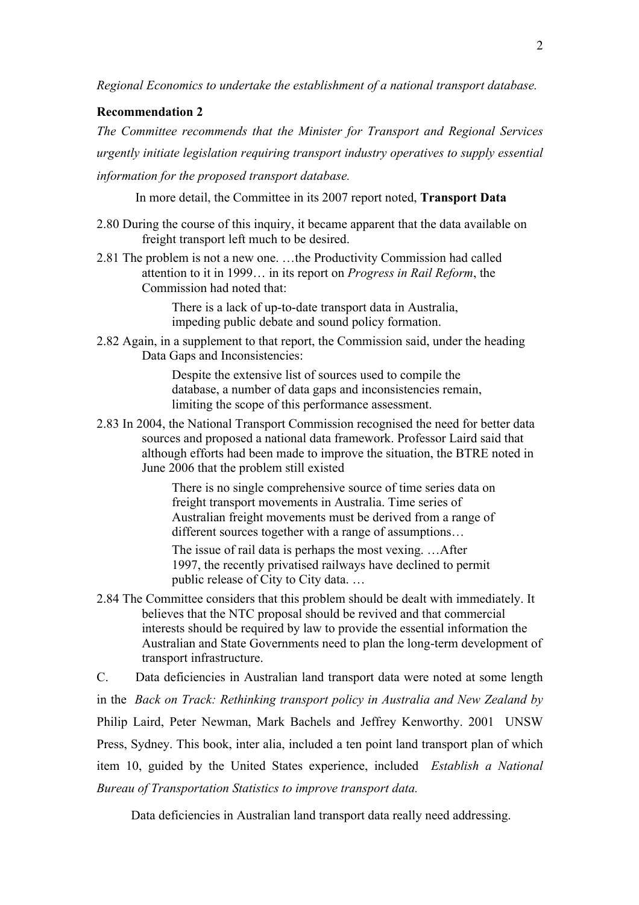*Regional Economics to undertake the establishment of a national transport database.* 

# **Recommendation 2**

*The Committee recommends that the Minister for Transport and Regional Services urgently initiate legislation requiring transport industry operatives to supply essential information for the proposed transport database.*

In more detail, the Committee in its 2007 report noted, **Transport Data** 

- 2.80 During the course of this inquiry, it became apparent that the data available on freight transport left much to be desired.
- 2.81 The problem is not a new one. …the Productivity Commission had called attention to it in 1999… in its report on *Progress in Rail Reform*, the Commission had noted that:

There is a lack of up-to-date transport data in Australia, impeding public debate and sound policy formation.

2.82 Again, in a supplement to that report, the Commission said, under the heading Data Gaps and Inconsistencies:

> Despite the extensive list of sources used to compile the database, a number of data gaps and inconsistencies remain, limiting the scope of this performance assessment.

2.83 In 2004, the National Transport Commission recognised the need for better data sources and proposed a national data framework. Professor Laird said that although efforts had been made to improve the situation, the BTRE noted in June 2006 that the problem still existed

> There is no single comprehensive source of time series data on freight transport movements in Australia. Time series of Australian freight movements must be derived from a range of different sources together with a range of assumptions…

The issue of rail data is perhaps the most vexing. …After 1997, the recently privatised railways have declined to permit public release of City to City data. …

2.84 The Committee considers that this problem should be dealt with immediately. It believes that the NTC proposal should be revived and that commercial interests should be required by law to provide the essential information the Australian and State Governments need to plan the long-term development of transport infrastructure.

C. Data deficiencies in Australian land transport data were noted at some length in the *Back on Track: Rethinking transport policy in Australia and New Zealand by* Philip Laird, Peter Newman, Mark Bachels and Jeffrey Kenworthy. 2001 UNSW Press, Sydney. This book, inter alia, included a ten point land transport plan of which item 10, guided by the United States experience, included *Establish a National Bureau of Transportation Statistics to improve transport data.*

Data deficiencies in Australian land transport data really need addressing.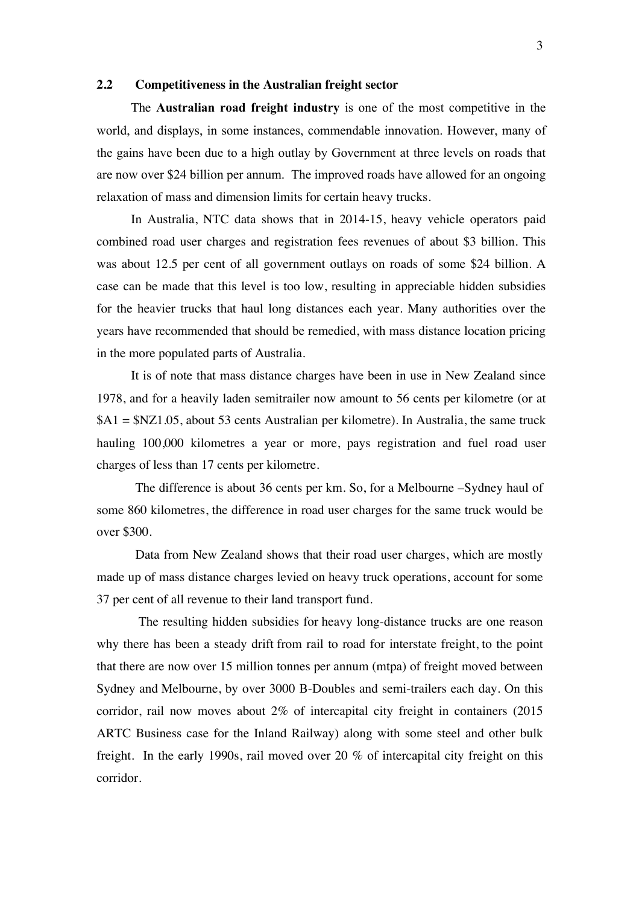## **2.2 Competitiveness in the Australian freight sector**

The **Australian road freight industry** is one of the most competitive in the world, and displays, in some instances, commendable innovation. However, many of the gains have been due to a high outlay by Government at three levels on roads that are now over \$24 billion per annum. The improved roads have allowed for an ongoing relaxation of mass and dimension limits for certain heavy trucks.

In Australia, NTC data shows that in 2014-15, heavy vehicle operators paid combined road user charges and registration fees revenues of about \$3 billion. This was about 12.5 per cent of all government outlays on roads of some \$24 billion. A case can be made that this level is too low, resulting in appreciable hidden subsidies for the heavier trucks that haul long distances each year. Many authorities over the years have recommended that should be remedied, with mass distance location pricing in the more populated parts of Australia.

It is of note that mass distance charges have been in use in New Zealand since 1978, and for a heavily laden semitrailer now amount to 56 cents per kilometre (or at \$A1 = \$NZ1.05, about 53 cents Australian per kilometre). In Australia, the same truck hauling 100,000 kilometres a year or more, pays registration and fuel road user charges of less than 17 cents per kilometre.

The difference is about 36 cents per km. So, for a Melbourne –Sydney haul of some 860 kilometres, the difference in road user charges for the same truck would be over \$300.

Data from New Zealand shows that their road user charges, which are mostly made up of mass distance charges levied on heavy truck operations, account for some 37 per cent of all revenue to their land transport fund.

The resulting hidden subsidies for heavy long-distance trucks are one reason why there has been a steady drift from rail to road for interstate freight, to the point that there are now over 15 million tonnes per annum (mtpa) of freight moved between Sydney and Melbourne, by over 3000 B-Doubles and semi-trailers each day. On this corridor, rail now moves about 2% of intercapital city freight in containers (2015 ARTC Business case for the Inland Railway) along with some steel and other bulk freight. In the early 1990s, rail moved over 20 % of intercapital city freight on this corridor.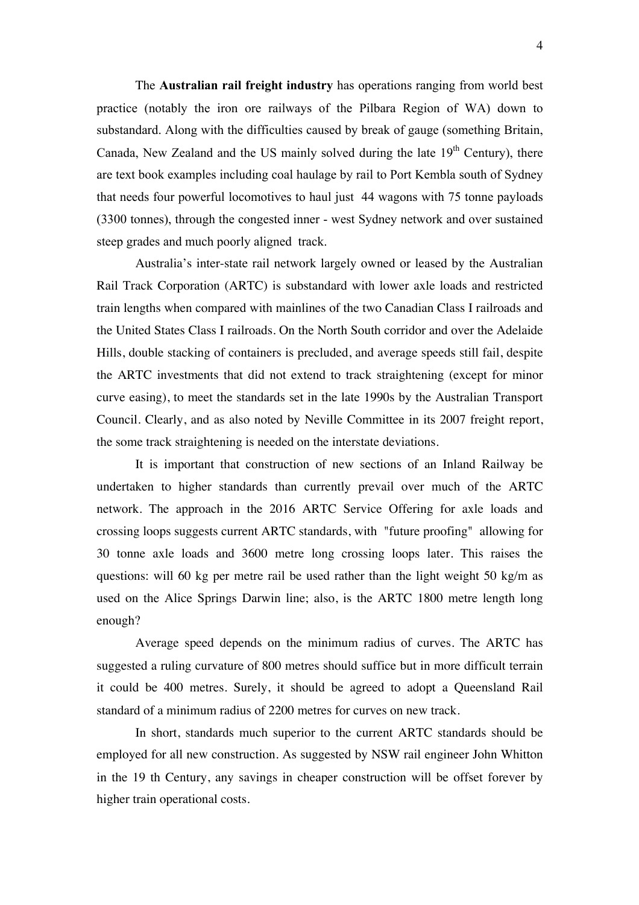The **Australian rail freight industry** has operations ranging from world best practice (notably the iron ore railways of the Pilbara Region of WA) down to substandard. Along with the difficulties caused by break of gauge (something Britain, Canada, New Zealand and the US mainly solved during the late  $19<sup>th</sup>$  Century), there are text book examples including coal haulage by rail to Port Kembla south of Sydney that needs four powerful locomotives to haul just 44 wagons with 75 tonne payloads (3300 tonnes), through the congested inner - west Sydney network and over sustained steep grades and much poorly aligned track.

Australia's inter-state rail network largely owned or leased by the Australian Rail Track Corporation (ARTC) is substandard with lower axle loads and restricted train lengths when compared with mainlines of the two Canadian Class I railroads and the United States Class I railroads. On the North South corridor and over the Adelaide Hills, double stacking of containers is precluded, and average speeds still fail, despite the ARTC investments that did not extend to track straightening (except for minor curve easing), to meet the standards set in the late 1990s by the Australian Transport Council. Clearly, and as also noted by Neville Committee in its 2007 freight report, the some track straightening is needed on the interstate deviations.

It is important that construction of new sections of an Inland Railway be undertaken to higher standards than currently prevail over much of the ARTC network. The approach in the 2016 ARTC Service Offering for axle loads and crossing loops suggests current ARTC standards, with "future proofing" allowing for 30 tonne axle loads and 3600 metre long crossing loops later. This raises the questions: will 60 kg per metre rail be used rather than the light weight 50 kg/m as used on the Alice Springs Darwin line; also, is the ARTC 1800 metre length long enough?

Average speed depends on the minimum radius of curves. The ARTC has suggested a ruling curvature of 800 metres should suffice but in more difficult terrain it could be 400 metres. Surely, it should be agreed to adopt a Queensland Rail standard of a minimum radius of 2200 metres for curves on new track.

In short, standards much superior to the current ARTC standards should be employed for all new construction. As suggested by NSW rail engineer John Whitton in the 19 th Century, any savings in cheaper construction will be offset forever by higher train operational costs.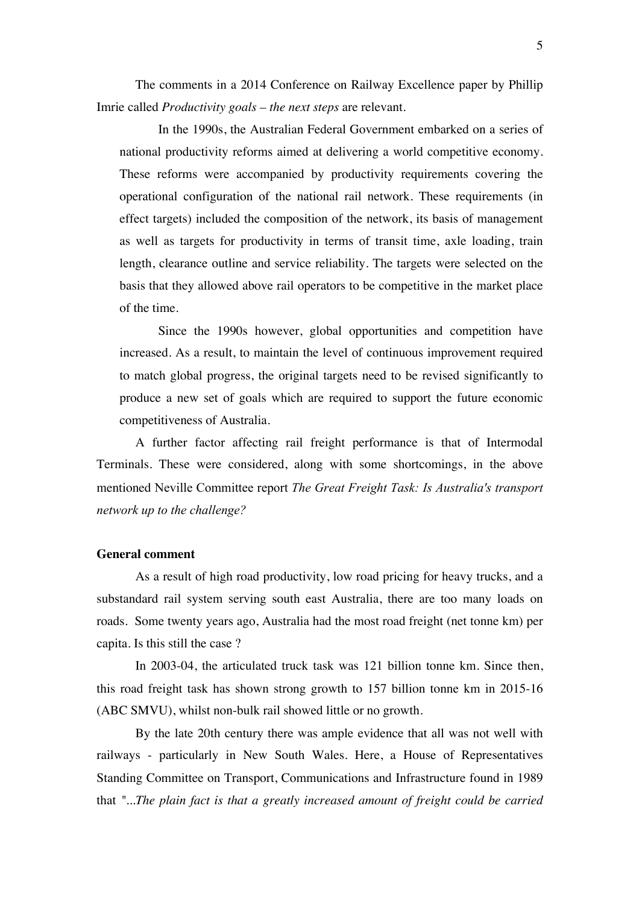The comments in a 2014 Conference on Railway Excellence paper by Phillip Imrie called *Productivity goals – the next steps* are relevant.

In the 1990s, the Australian Federal Government embarked on a series of national productivity reforms aimed at delivering a world competitive economy. These reforms were accompanied by productivity requirements covering the operational configuration of the national rail network. These requirements (in effect targets) included the composition of the network, its basis of management as well as targets for productivity in terms of transit time, axle loading, train length, clearance outline and service reliability. The targets were selected on the basis that they allowed above rail operators to be competitive in the market place of the time.

Since the 1990s however, global opportunities and competition have increased. As a result, to maintain the level of continuous improvement required to match global progress, the original targets need to be revised significantly to produce a new set of goals which are required to support the future economic competitiveness of Australia.

A further factor affecting rail freight performance is that of Intermodal Terminals. These were considered, along with some shortcomings, in the above mentioned Neville Committee report *The Great Freight Task: Is Australia's transport network up to the challenge?* 

### **General comment**

As a result of high road productivity, low road pricing for heavy trucks, and a substandard rail system serving south east Australia, there are too many loads on roads. Some twenty years ago, Australia had the most road freight (net tonne km) per capita. Is this still the case ?

In 2003-04, the articulated truck task was 121 billion tonne km. Since then, this road freight task has shown strong growth to 157 billion tonne km in 2015-16 (ABC SMVU), whilst non-bulk rail showed little or no growth.

By the late 20th century there was ample evidence that all was not well with railways - particularly in New South Wales. Here, a House of Representatives Standing Committee on Transport, Communications and Infrastructure found in 1989 that *"...The plain fact is that a greatly increased amount of freight could be carried*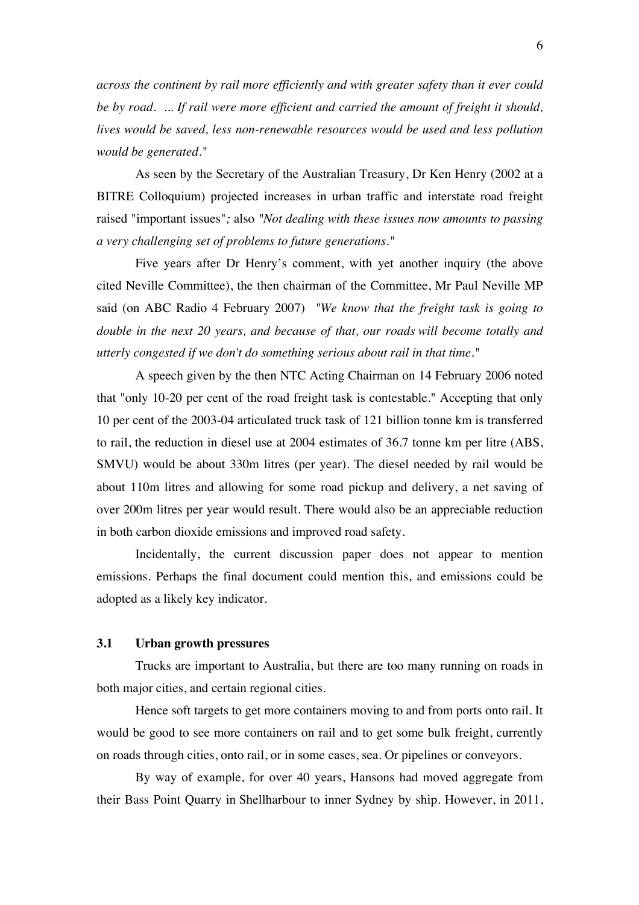*across the continent by rail more efficiently and with greater safety than it ever could be by road. ... If rail were more efficient and carried the amount of freight it should, lives would be saved, less non-renewable resources would be used and less pollution would be generated."*

As seen by the Secretary of the Australian Treasury, Dr Ken Henry (2002 at a BITRE Colloquium) projected increases in urban traffic and interstate road freight raised "important issues"*;* also *"Not dealing with these issues now amounts to passing a very challenging set of problems to future generations."* 

Five years after Dr Henry's comment, with yet another inquiry (the above cited Neville Committee), the then chairman of the Committee, Mr Paul Neville MP said (on ABC Radio 4 February 2007) *"We know that the freight task is going to double in the next 20 years, and because of that, our roads will become totally and utterly congested if we don't do something serious about rail in that time."*

A speech given by the then NTC Acting Chairman on 14 February 2006 noted that "only 10-20 per cent of the road freight task is contestable." Accepting that only 10 per cent of the 2003-04 articulated truck task of 121 billion tonne km is transferred to rail, the reduction in diesel use at 2004 estimates of 36.7 tonne km per litre (ABS, SMVU) would be about 330m litres (per year). The diesel needed by rail would be about 110m litres and allowing for some road pickup and delivery, a net saving of over 200m litres per year would result. There would also be an appreciable reduction in both carbon dioxide emissions and improved road safety.

Incidentally, the current discussion paper does not appear to mention emissions. Perhaps the final document could mention this, and emissions could be adopted as a likely key indicator.

## **3.1 Urban growth pressures**

Trucks are important to Australia, but there are too many running on roads in both major cities, and certain regional cities.

Hence soft targets to get more containers moving to and from ports onto rail. It would be good to see more containers on rail and to get some bulk freight, currently on roads through cities, onto rail, or in some cases, sea. Or pipelines or conveyors.

By way of example, for over 40 years, Hansons had moved aggregate from their Bass Point Quarry in Shellharbour to inner Sydney by ship. However, in 2011,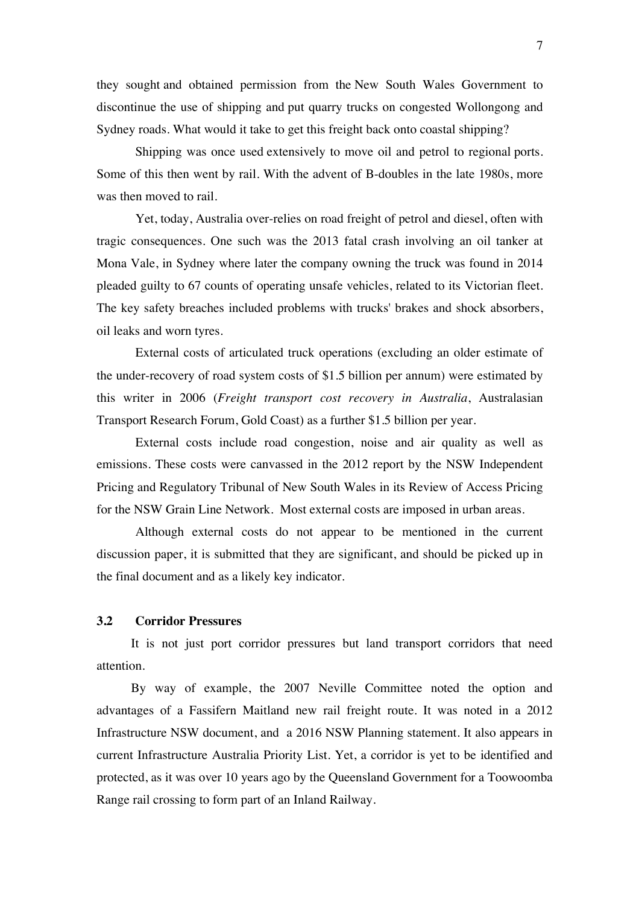they sought and obtained permission from the New South Wales Government to discontinue the use of shipping and put quarry trucks on congested Wollongong and Sydney roads. What would it take to get this freight back onto coastal shipping?

Shipping was once used extensively to move oil and petrol to regional ports. Some of this then went by rail. With the advent of B-doubles in the late 1980s, more was then moved to rail.

Yet, today, Australia over-relies on road freight of petrol and diesel, often with tragic consequences. One such was the 2013 fatal crash involving an oil tanker at Mona Vale, in Sydney where later the company owning the truck was found in 2014 pleaded guilty to 67 counts of operating unsafe vehicles, related to its Victorian fleet. The key safety breaches included problems with trucks' brakes and shock absorbers, oil leaks and worn tyres.

External costs of articulated truck operations (excluding an older estimate of the under-recovery of road system costs of \$1.5 billion per annum) were estimated by this writer in 2006 (*Freight transport cost recovery in Australia*, Australasian Transport Research Forum, Gold Coast) as a further \$1.5 billion per year.

External costs include road congestion, noise and air quality as well as emissions. These costs were canvassed in the 2012 report by the NSW Independent Pricing and Regulatory Tribunal of New South Wales in its Review of Access Pricing for the NSW Grain Line Network. Most external costs are imposed in urban areas.

Although external costs do not appear to be mentioned in the current discussion paper, it is submitted that they are significant, and should be picked up in the final document and as a likely key indicator.

## **3.2 Corridor Pressures**

It is not just port corridor pressures but land transport corridors that need attention.

By way of example, the 2007 Neville Committee noted the option and advantages of a Fassifern Maitland new rail freight route. It was noted in a 2012 Infrastructure NSW document, and a 2016 NSW Planning statement. It also appears in current Infrastructure Australia Priority List. Yet, a corridor is yet to be identified and protected, as it was over 10 years ago by the Queensland Government for a Toowoomba Range rail crossing to form part of an Inland Railway.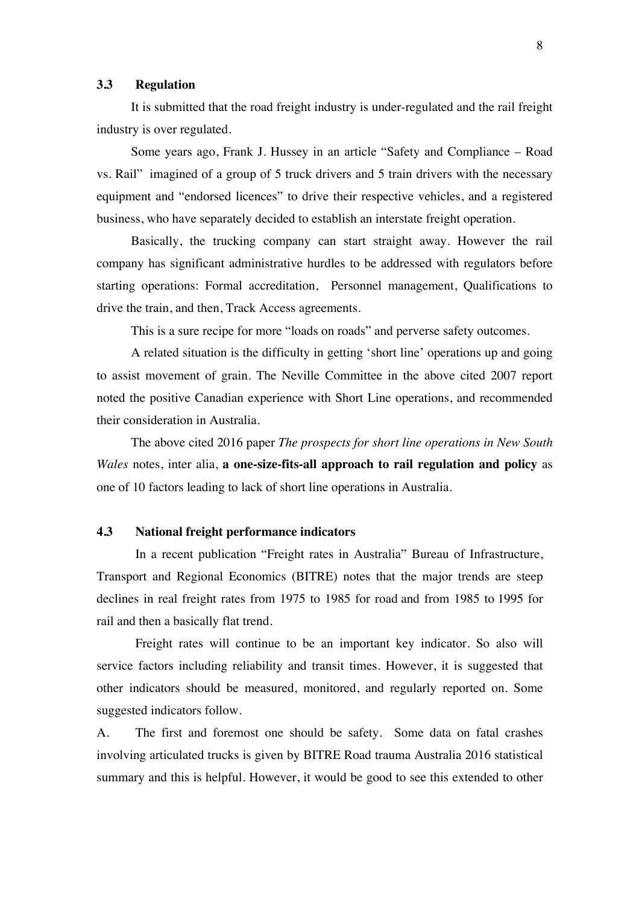#### **3.3 Regulation**

It is submitted that the road freight industry is under-regulated and the rail freight industry is over regulated.

Some years ago, Frank J. Hussey in an article "Safety and Compliance – Road vs. Rail" imagined of a group of 5 truck drivers and 5 train drivers with the necessary equipment and "endorsed licences" to drive their respective vehicles, and a registered business, who have separately decided to establish an interstate freight operation.

Basically, the trucking company can start straight away. However the rail company has significant administrative hurdles to be addressed with regulators before starting operations: Formal accreditation, Personnel management, Qualifications to drive the train, and then, Track Access agreements.

This is a sure recipe for more "loads on roads" and perverse safety outcomes.

A related situation is the difficulty in getting 'short line' operations up and going to assist movement of grain. The Neville Committee in the above cited 2007 report noted the positive Canadian experience with Short Line operations, and recommended their consideration in Australia.

The above cited 2016 paper *The prospects for short line operations in New South Wales* notes, inter alia, **a one-size-fits-all approach to rail regulation and policy** as one of 10 factors leading to lack of short line operations in Australia.

### **4.3 National freight performance indicators**

In a recent publication "Freight rates in Australia" Bureau of Infrastructure, Transport and Regional Economics (BITRE) notes that the major trends are steep declines in real freight rates from 1975 to 1985 for road and from 1985 to 1995 for rail and then a basically flat trend.

Freight rates will continue to be an important key indicator. So also will service factors including reliability and transit times. However, it is suggested that other indicators should be measured, monitored, and regularly reported on. Some suggested indicators follow.

A. The first and foremost one should be safety. Some data on fatal crashes involving articulated trucks is given by BITRE Road trauma Australia 2016 statistical summary and this is helpful. However, it would be good to see this extended to other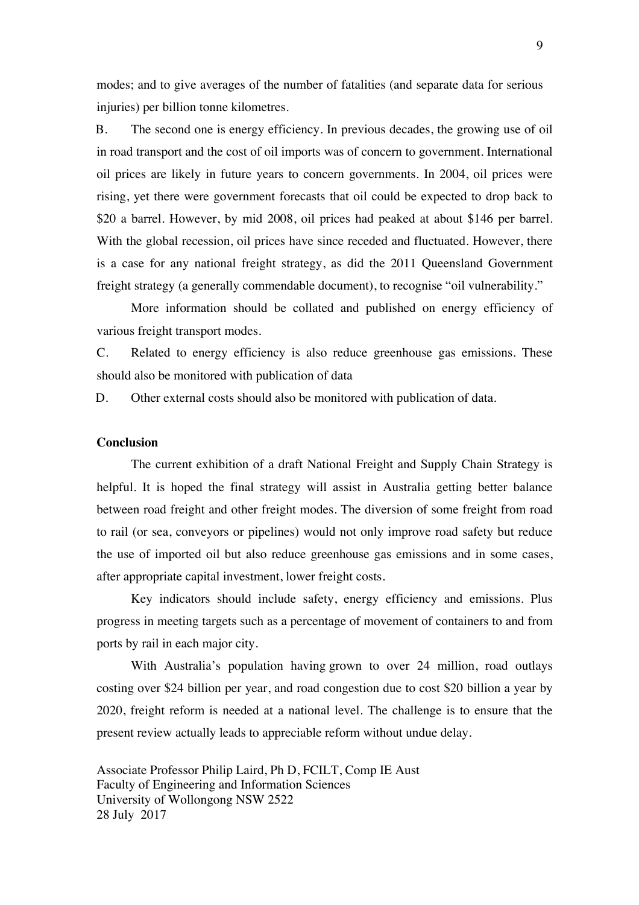modes; and to give averages of the number of fatalities (and separate data for serious injuries) per billion tonne kilometres.

B. The second one is energy efficiency. In previous decades, the growing use of oil in road transport and the cost of oil imports was of concern to government. International oil prices are likely in future years to concern governments. In 2004, oil prices were rising, yet there were government forecasts that oil could be expected to drop back to \$20 a barrel. However, by mid 2008, oil prices had peaked at about \$146 per barrel. With the global recession, oil prices have since receded and fluctuated. However, there is a case for any national freight strategy, as did the 2011 Queensland Government freight strategy (a generally commendable document), to recognise "oil vulnerability."

More information should be collated and published on energy efficiency of various freight transport modes.

C. Related to energy efficiency is also reduce greenhouse gas emissions. These should also be monitored with publication of data

D. Other external costs should also be monitored with publication of data.

## **Conclusion**

The current exhibition of a draft National Freight and Supply Chain Strategy is helpful. It is hoped the final strategy will assist in Australia getting better balance between road freight and other freight modes. The diversion of some freight from road to rail (or sea, conveyors or pipelines) would not only improve road safety but reduce the use of imported oil but also reduce greenhouse gas emissions and in some cases, after appropriate capital investment, lower freight costs.

Key indicators should include safety, energy efficiency and emissions. Plus progress in meeting targets such as a percentage of movement of containers to and from ports by rail in each major city.

With Australia's population having grown to over 24 million, road outlays costing over \$24 billion per year, and road congestion due to cost \$20 billion a year by 2020, freight reform is needed at a national level. The challenge is to ensure that the present review actually leads to appreciable reform without undue delay.

Associate Professor Philip Laird, Ph D, FCILT, Comp IE Aust Faculty of Engineering and Information Sciences University of Wollongong NSW 2522 28 July 2017